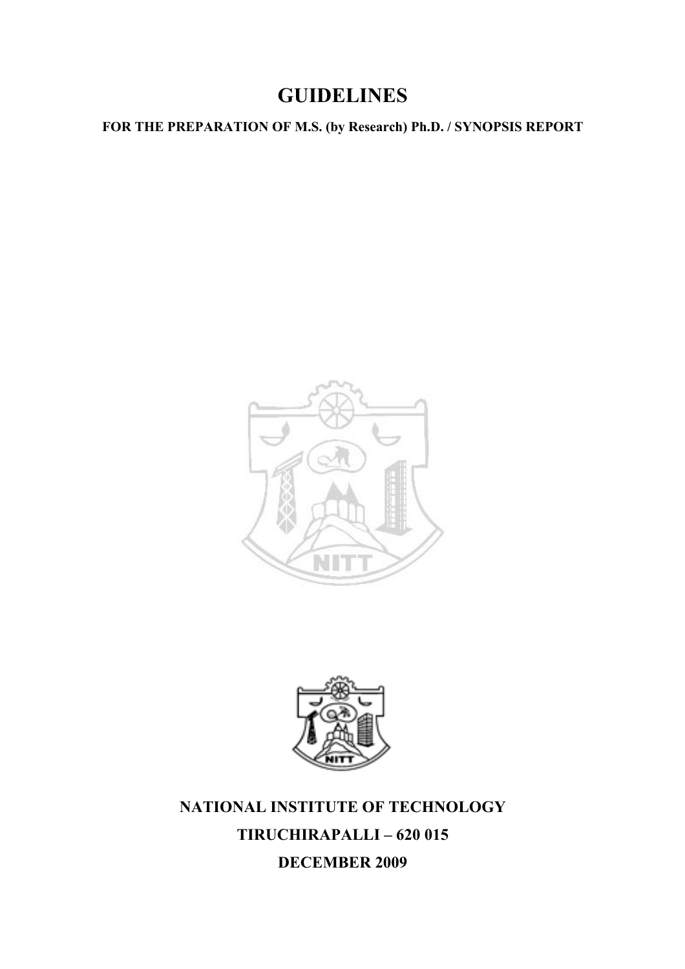# **GUIDELINES**

**FOR THE PREPARATION OF M.S. (by Research) Ph.D. / SYNOPSIS REPORT** 





**NATIONAL INSTITUTE OF TECHNOLOGY TIRUCHIRAPALLI – 620 015 DECEMBER 2009**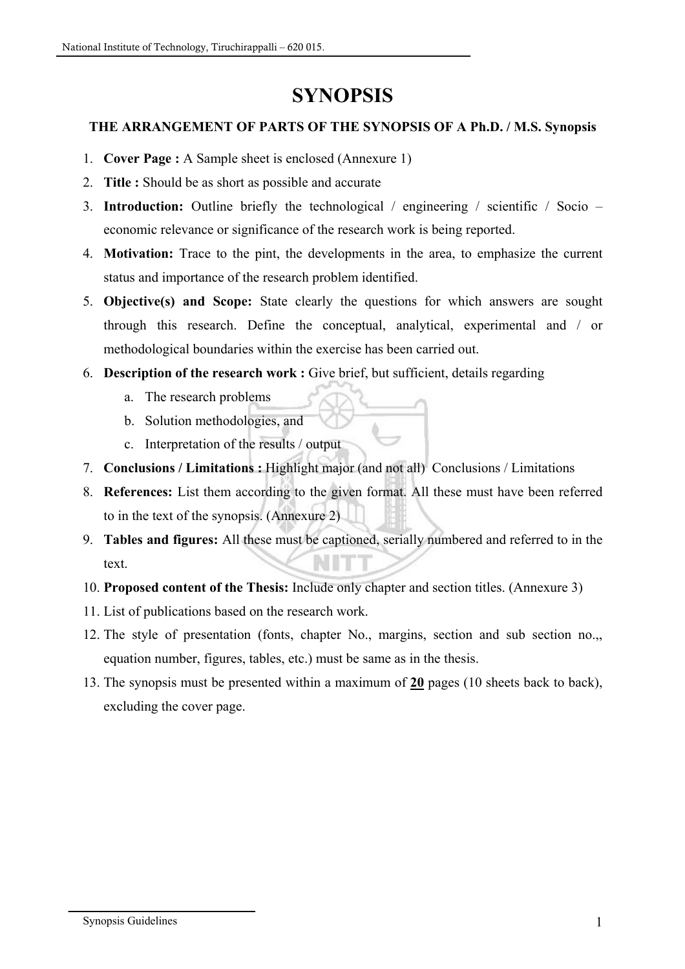# **SYNOPSIS**

# **THE ARRANGEMENT OF PARTS OF THE SYNOPSIS OF A Ph.D. / M.S. Synopsis**

- 1. **Cover Page :** A Sample sheet is enclosed (Annexure 1)
- 2. **Title :** Should be as short as possible and accurate
- 3. **Introduction:** Outline briefly the technological / engineering / scientific / Socio economic relevance or significance of the research work is being reported.
- 4. **Motivation:** Trace to the pint, the developments in the area, to emphasize the current status and importance of the research problem identified.
- 5. **Objective(s) and Scope:** State clearly the questions for which answers are sought through this research. Define the conceptual, analytical, experimental and / or methodological boundaries within the exercise has been carried out.
- 6. **Description of the research work :** Give brief, but sufficient, details regarding
	- a. The research problems
	- b. Solution methodologies, and
	- c. Interpretation of the results / output
- 7. **Conclusions / Limitations :** Highlight major (and not all) Conclusions / Limitations
- 8. **References:** List them according to the given format. All these must have been referred to in the text of the synopsis. (Annexure 2)
- 9. **Tables and figures:** All these must be captioned, serially numbered and referred to in the text.
- 10. **Proposed content of the Thesis:** Include only chapter and section titles. (Annexure 3)
- 11. List of publications based on the research work.
- 12. The style of presentation (fonts, chapter No., margins, section and sub section no.,, equation number, figures, tables, etc.) must be same as in the thesis.
- 13. The synopsis must be presented within a maximum of **20** pages (10 sheets back to back), excluding the cover page.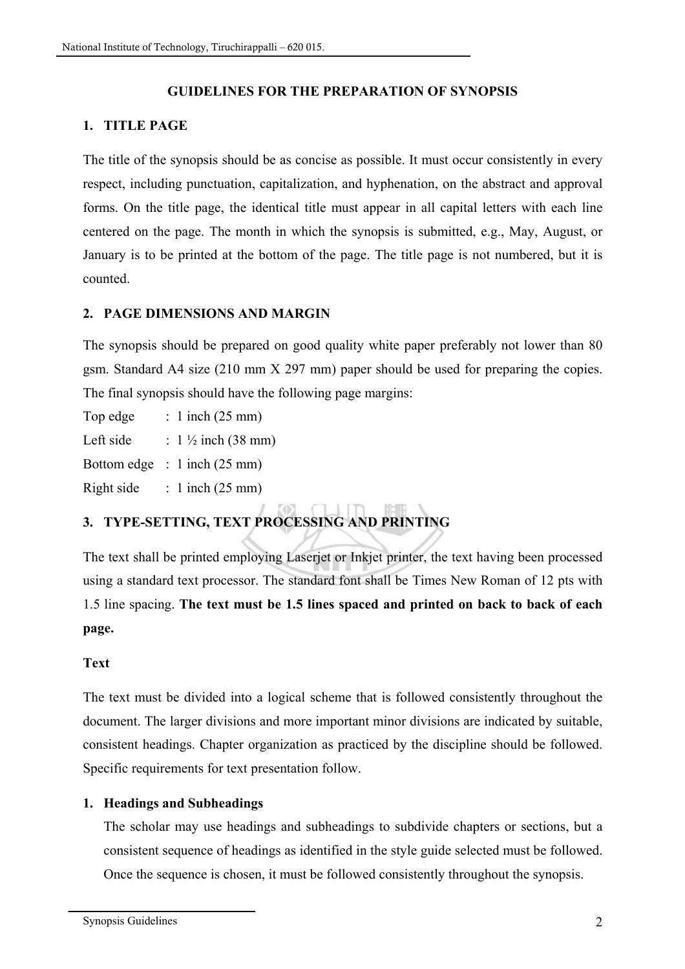# **GUIDELINES FOR THE PREPARATION OF SYNOPSIS**

### **1. TITLE PAGE**

The title of the synopsis should be as concise as possible. It must occur consistently in every respect, including punctuation, capitalization, and hyphenation, on the abstract and approval forms. On the title page, the identical title must appear in all capital letters with each line centered on the page. The month in which the synopsis is submitted, e.g., May, August, or January is to be printed at the bottom of the page. The title page is not numbered, but it is counted.

### **2. PAGE DIMENSIONS AND MARGIN**

The synopsis should be prepared on good quality white paper preferably not lower than 80 gsm. Standard A4 size (210 mm X 297 mm) paper should be used for preparing the copies. The final synopsis should have the following page margins:

Top edge  $: 1$  inch (25 mm)

Left side :  $1\frac{1}{2}$  inch (38 mm)

Bottom edge : 1 inch (25 mm)

Right side : 1 inch  $(25 \text{ mm})$ 

# **3. TYPE-SETTING, TEXT PROCESSING AND PRINTING**

The text shall be printed employing Laserjet or Inkjet printer, the text having been processed using a standard text processor. The standard font shall be Times New Roman of 12 pts with 1.5 line spacing. **The text must be 1.5 lines spaced and printed on back to back of each page.** 

#### **Text**

The text must be divided into a logical scheme that is followed consistently throughout the document. The larger divisions and more important minor divisions are indicated by suitable, consistent headings. Chapter organization as practiced by the discipline should be followed. Specific requirements for text presentation follow.

# **1. Headings and Subheadings**

The scholar may use headings and subheadings to subdivide chapters or sections, but a consistent sequence of headings as identified in the style guide selected must be followed. Once the sequence is chosen, it must be followed consistently throughout the synopsis.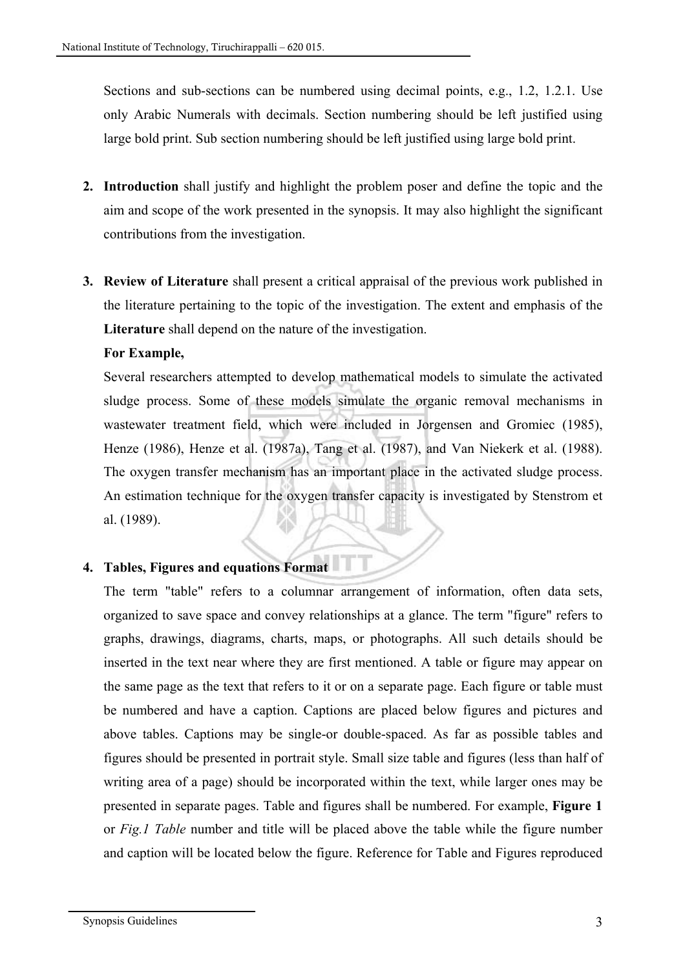Sections and sub-sections can be numbered using decimal points, e.g., 1.2, 1.2.1. Use only Arabic Numerals with decimals. Section numbering should be left justified using large bold print. Sub section numbering should be left justified using large bold print.

- **2. Introduction** shall justify and highlight the problem poser and define the topic and the aim and scope of the work presented in the synopsis. It may also highlight the significant contributions from the investigation.
- **3. Review of Literature** shall present a critical appraisal of the previous work published in the literature pertaining to the topic of the investigation. The extent and emphasis of the **Literature** shall depend on the nature of the investigation.

### **For Example,**

Several researchers attempted to develop mathematical models to simulate the activated sludge process. Some of these models simulate the organic removal mechanisms in wastewater treatment field, which were included in Jorgensen and Gromiec (1985), Henze (1986), Henze et al. (1987a), Tang et al. (1987), and Van Niekerk et al. (1988). The oxygen transfer mechanism has an important place in the activated sludge process. An estimation technique for the oxygen transfer capacity is investigated by Stenstrom et al. (1989).

# **4. Tables, Figures and equations Format**

The term "table" refers to a columnar arrangement of information, often data sets, organized to save space and convey relationships at a glance. The term "figure" refers to graphs, drawings, diagrams, charts, maps, or photographs. All such details should be inserted in the text near where they are first mentioned. A table or figure may appear on the same page as the text that refers to it or on a separate page. Each figure or table must be numbered and have a caption. Captions are placed below figures and pictures and above tables. Captions may be single-or double-spaced. As far as possible tables and figures should be presented in portrait style. Small size table and figures (less than half of writing area of a page) should be incorporated within the text, while larger ones may be presented in separate pages. Table and figures shall be numbered. For example, **Figure 1**  or *Fig.1 Table* number and title will be placed above the table while the figure number and caption will be located below the figure. Reference for Table and Figures reproduced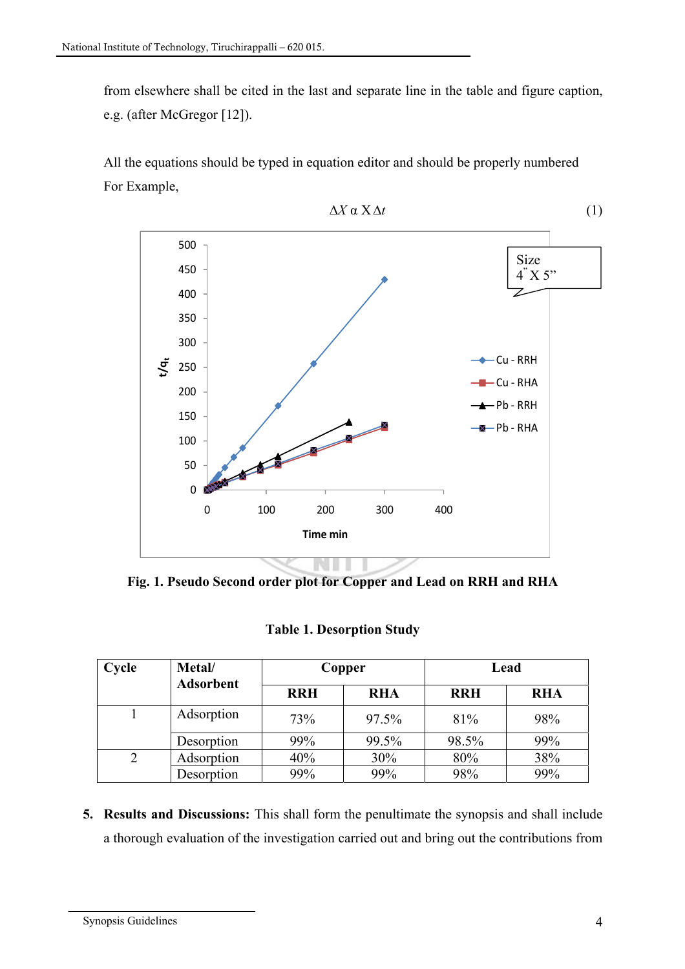from elsewhere shall be cited in the last and separate line in the table and figure caption, e.g. (after McGregor [12]).

All the equations should be typed in equation editor and should be properly numbered For Example,



**Fig. 1. Pseudo Second order plot for Copper and Lead on RRH and RHA** 

|  |  |  |  | <b>Table 1. Desorption Study</b> |
|--|--|--|--|----------------------------------|
|--|--|--|--|----------------------------------|

| Cycle | Metal/<br><b>Adsorbent</b> | Copper     |            | Lead       |            |
|-------|----------------------------|------------|------------|------------|------------|
|       |                            | <b>RRH</b> | <b>RHA</b> | <b>RRH</b> | <b>RHA</b> |
|       | Adsorption                 | 73%        | 97.5%      | 81%        | 98%        |
|       | Desorption                 | 99%        | 99.5%      | 98.5%      | 99%        |
|       | Adsorption                 | 40%        | 30%        | 80%        | 38%        |
|       | Desorption                 | 99%        | 99%        | 98%        | 99%        |

**5. Results and Discussions:** This shall form the penultimate the synopsis and shall include a thorough evaluation of the investigation carried out and bring out the contributions from

Synopsis Guidelines 4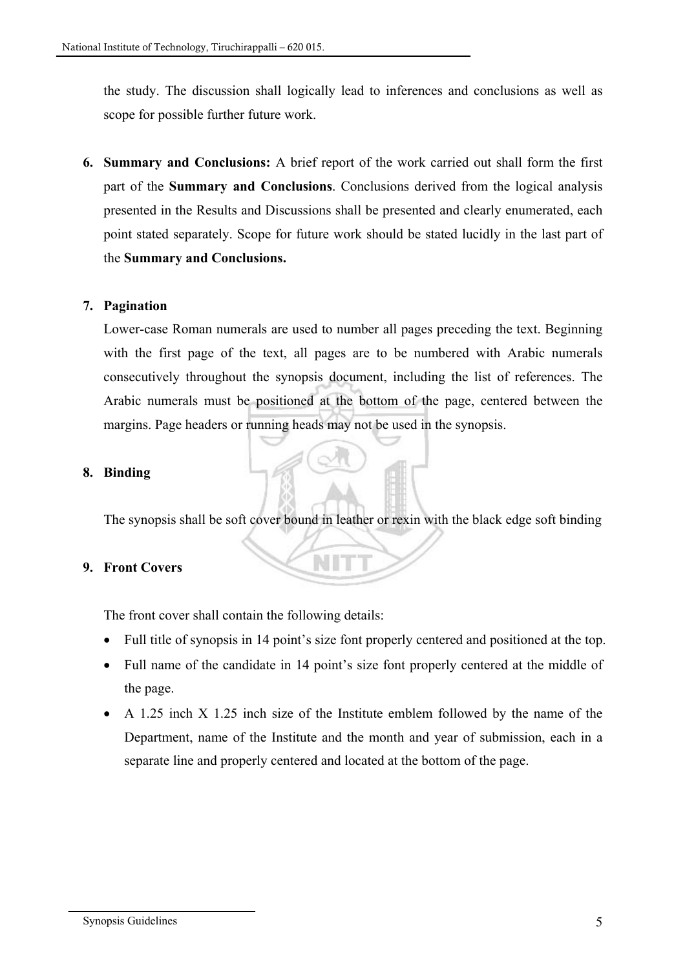the study. The discussion shall logically lead to inferences and conclusions as well as scope for possible further future work.

**6. Summary and Conclusions:** A brief report of the work carried out shall form the first part of the **Summary and Conclusions**. Conclusions derived from the logical analysis presented in the Results and Discussions shall be presented and clearly enumerated, each point stated separately. Scope for future work should be stated lucidly in the last part of the **Summary and Conclusions.** 

#### **7. Pagination**

Lower-case Roman numerals are used to number all pages preceding the text. Beginning with the first page of the text, all pages are to be numbered with Arabic numerals consecutively throughout the synopsis document, including the list of references. The Arabic numerals must be positioned at the bottom of the page, centered between the margins. Page headers or running heads may not be used in the synopsis.

#### **8. Binding**

The synopsis shall be soft cover bound in leather or rexin with the black edge soft binding

#### **9. Front Covers**

The front cover shall contain the following details:

- Full title of synopsis in 14 point's size font properly centered and positioned at the top.
- Full name of the candidate in 14 point's size font properly centered at the middle of the page.
- A 1.25 inch X 1.25 inch size of the Institute emblem followed by the name of the Department, name of the Institute and the month and year of submission, each in a separate line and properly centered and located at the bottom of the page.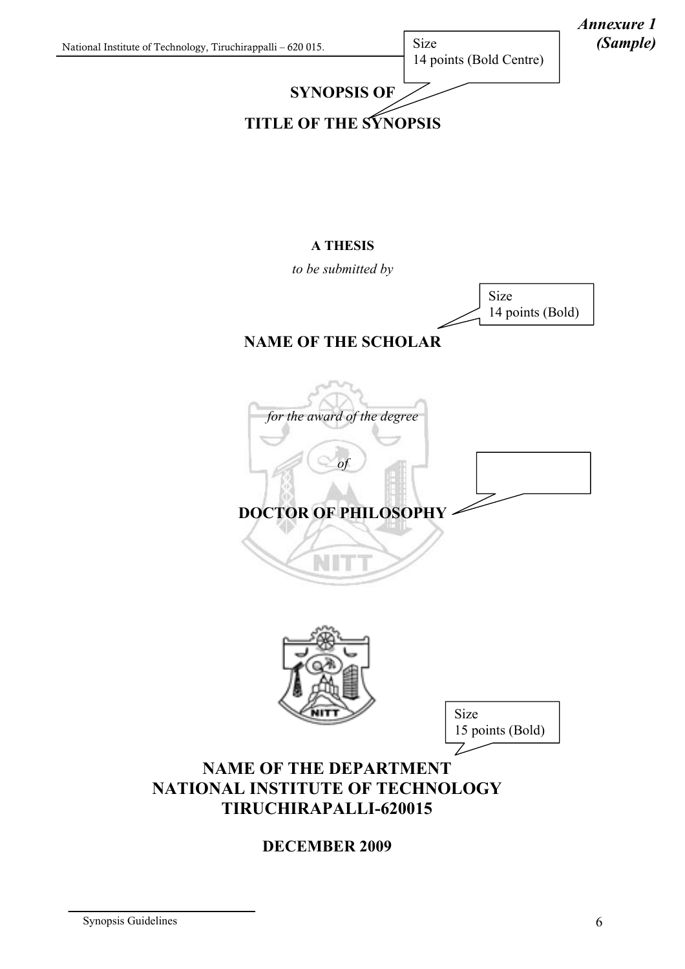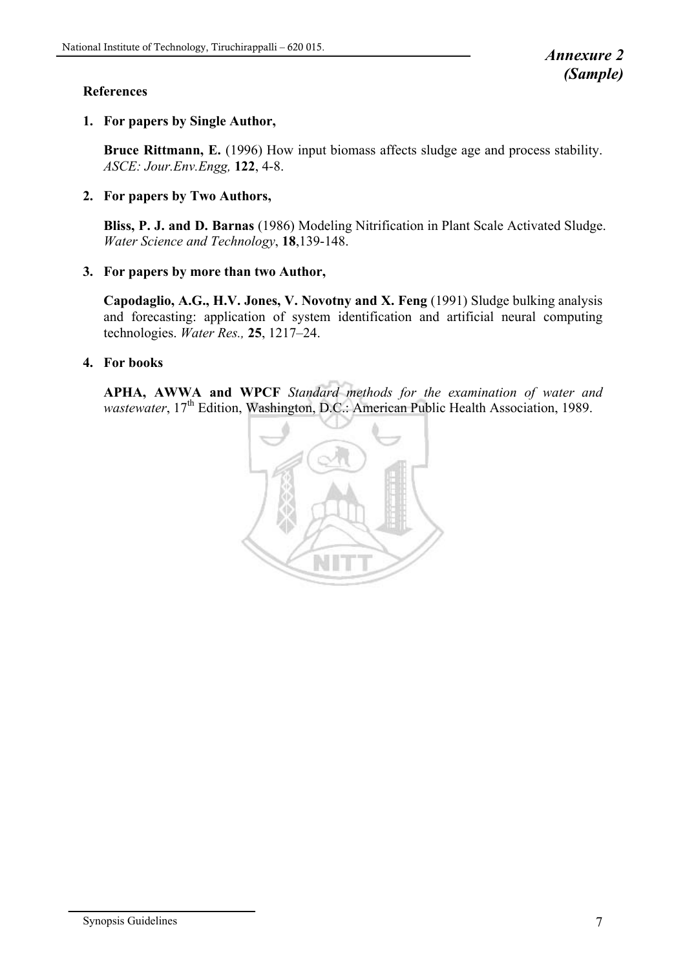#### **References**

#### **1. For papers by Single Author,**

**Bruce Rittmann, E.** (1996) How input biomass affects sludge age and process stability. *ASCE: Jour.Env.Engg,* **122**, 4-8.

#### **2. For papers by Two Authors,**

**Bliss, P. J. and D. Barnas** (1986) Modeling Nitrification in Plant Scale Activated Sludge. *Water Science and Technology*, **18**,139-148.

#### **3. For papers by more than two Author,**

**Capodaglio, A.G., H.V. Jones, V. Novotny and X. Feng** (1991) Sludge bulking analysis and forecasting: application of system identification and artificial neural computing technologies. *Water Res.,* **25**, 1217–24.

#### **4. For books**

**APHA, AWWA and WPCF** *Standard methods for the examination of water and wastewater*, 17<sup>th</sup> Edition, Washington, D.C.: American Public Health Association, 1989.

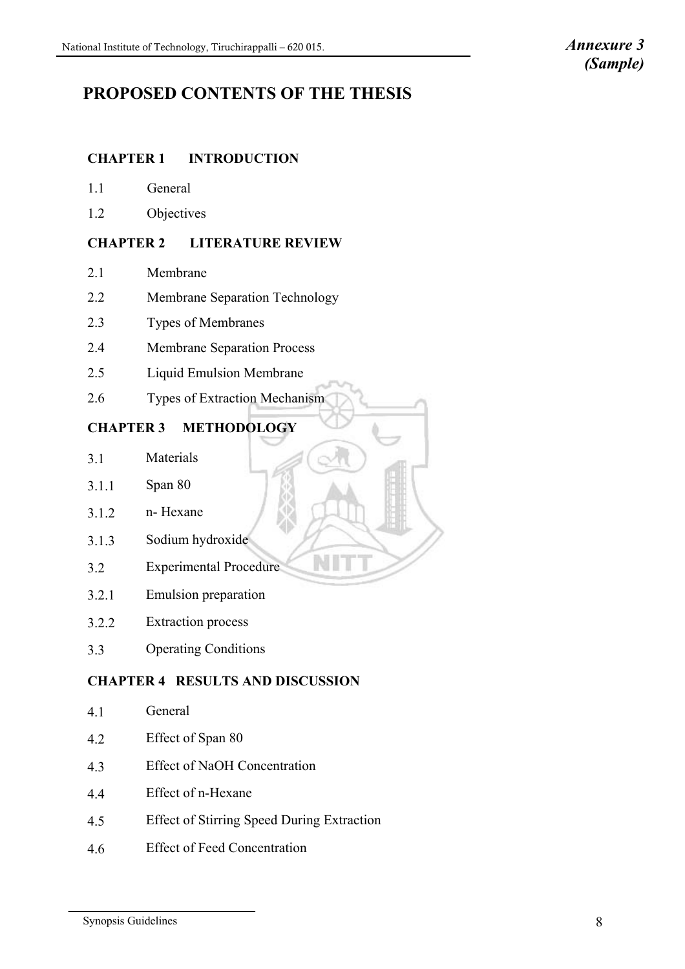# **PROPOSED CONTENTS OF THE THESIS**

#### **CHAPTER 1 INTRODUCTION**

- 1.1 General
- 1.2 Objectives

#### **CHAPTER 2 LITERATURE REVIEW**

- 2.1 Membrane
- 2.2 Membrane Separation Technology
- 2.3 Types of Membranes
- 2.4 Membrane Separation Process
- 2.5 Liquid Emulsion Membrane
- 2.6 Types of Extraction Mechanism

# **CHAPTER 3 METHODOLOGY**

- 3.1 Materials
- 3.1.1 Span 80
- $3.1.2$  n- Hexane
- 3.1.3 Sodium hydroxide
- 3.2.1 Emulsion preparation

3.2 Experimental Procedure

- 3.2.2 Extraction process
- 3.3 Operating Conditions

### **CHAPTER 4 RESULTS AND DISCUSSION**

N

- 4.1 General
- 4.2 Effect of Span 80
- 4.3 Effect of NaOH Concentration
- 4.4 Effect of n-Hexane
- 4.5 Effect of Stirring Speed During Extraction
- 4.6 Effect of Feed Concentration

Synopsis Guidelines 8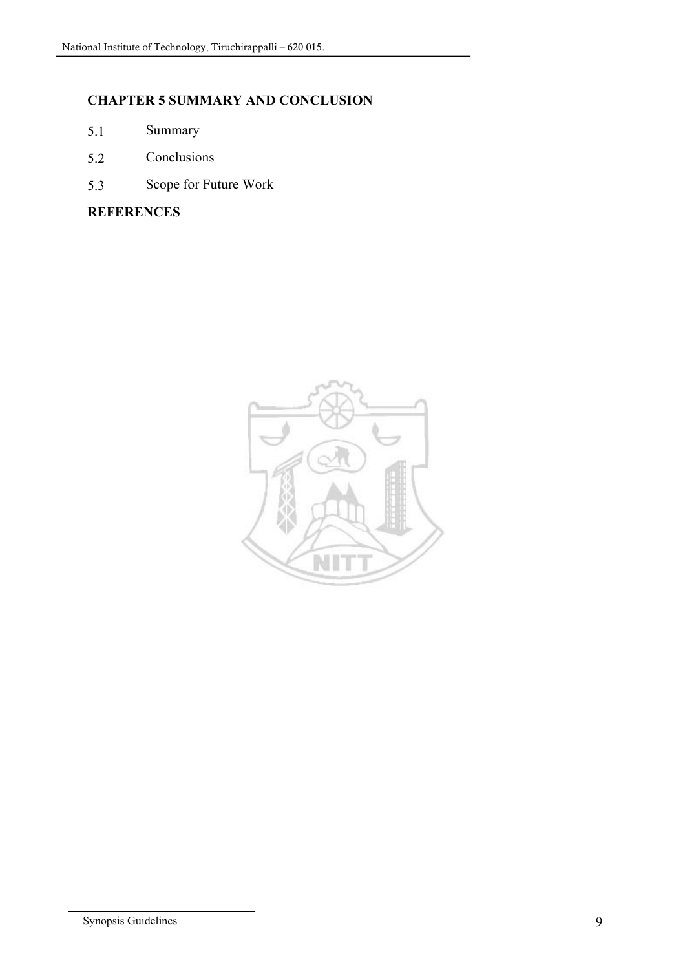# **CHAPTER 5 SUMMARY AND CONCLUSION**

- 5.1 Summary
- 5.2 Conclusions
- 5.3 Scope for Future Work

**REFERENCES**

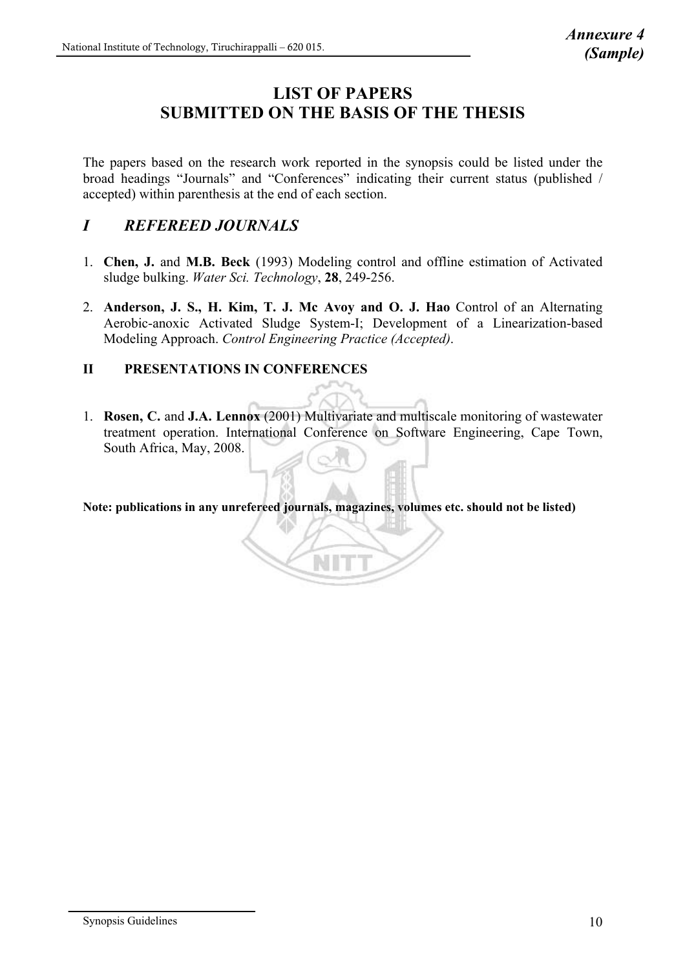# **LIST OF PAPERS SUBMITTED ON THE BASIS OF THE THESIS**

The papers based on the research work reported in the synopsis could be listed under the broad headings "Journals" and "Conferences" indicating their current status (published / accepted) within parenthesis at the end of each section.

# *I REFEREED JOURNALS*

- 1. **Chen, J.** and **M.B. Beck** (1993) Modeling control and offline estimation of Activated sludge bulking. *Water Sci. Technology*, **28**, 249-256.
- 2. **Anderson, J. S., H. Kim, T. J. Mc Avoy and O. J. Hao** Control of an Alternating Aerobic-anoxic Activated Sludge System-I; Development of a Linearization-based Modeling Approach. *Control Engineering Practice (Accepted)*.

#### **II PRESENTATIONS IN CONFERENCES**

1. **Rosen, C.** and **J.A. Lennox** (2001) Multivariate and multiscale monitoring of wastewater treatment operation. International Conference on Software Engineering, Cape Town, South Africa, May, 2008.

**Note: publications in any unrefereed journals, magazines, volumes etc. should not be listed)**